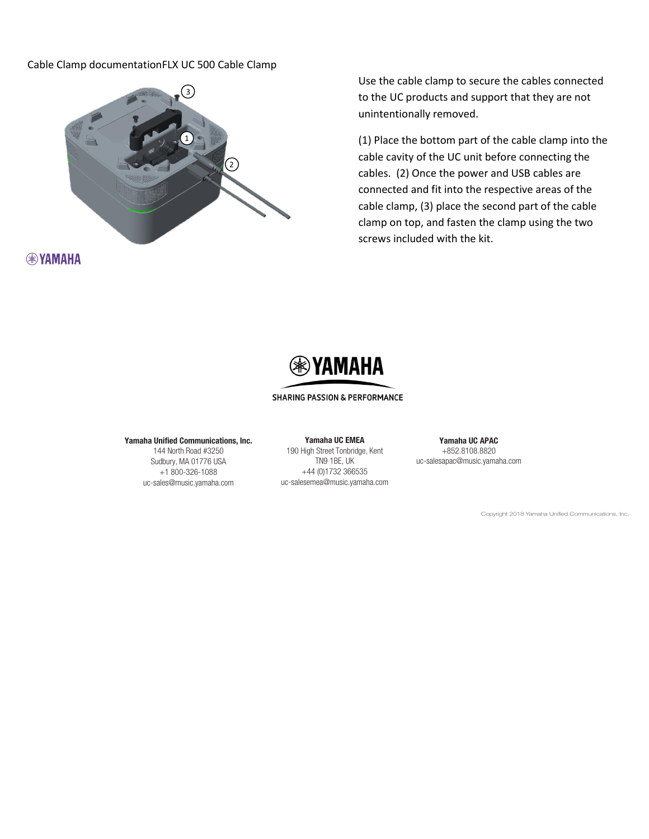## Cable Clamp documentationFLX UC 500 Cable Clamp



**RAYAMAHA** 

Use the cable clamp to secure the cables connected to the UC products and support that they are not unintentionally removed.

(1) Place the bottom part of the cable clamp into the cable cavity of the UC unit before connecting the cables. (2) Once the power and USB cables are connected and fit into the respective areas of the cable clamp, (3) place the second part of the cable clamp on top, and fasten the clamp using the two screws included with the kit.



## **SHARING PASSION & PERFORMANCE**

### Yamaha Unified Communications, Inc.

144 North Road #3250 Sudbury, MA 01776 USA +1 800-326-1088 uc-sales@music.yamaha.com

Yamaha UC EMEA 190 High Street Tonbridge, Kent TN9 1BE, UK +44 (0)1732 366535 uc-salesemea@music.yamaha.com

Yamaha UC APAC +852.8108.8820 uc-salesapac@music.yamaha.com